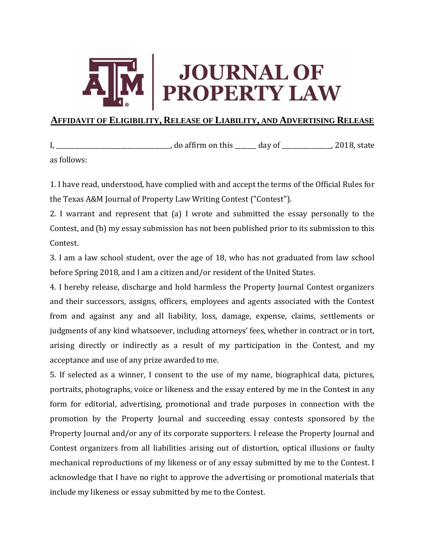

## **AFFIDAVIT OF ELIGIBILITY, RELEASE OF LIABILITY, AND ADVERTISING RELEASE**

I, \_\_\_\_\_\_\_\_\_\_\_\_\_\_\_\_\_\_\_\_\_\_\_\_\_\_\_\_\_\_\_\_\_\_\_\_\_, do affirm on this \_\_\_\_\_\_\_ day of \_\_\_\_\_\_\_\_\_\_\_\_\_\_\_\_, 2018, state as follows:

1. I have read, understood, have complied with and accept the terms of the Official Rules for the Texas A&M Journal of Property Law Writing Contest ("Contest").

2. I warrant and represent that (a) I wrote and submitted the essay personally to the Contest, and (b) my essay submission has not been published prior to its submission to this Contest.

3. I am a law school student, over the age of 18, who has not graduated from law school before Spring 2018, and I am a citizen and/or resident of the United States.

4. I hereby release, discharge and hold harmless the Property Journal Contest organizers and their successors, assigns, officers, employees and agents associated with the Contest from and against any and all liability, loss, damage, expense, claims, settlements or judgments of any kind whatsoever, including attorneys' fees, whether in contract or in tort, arising directly or indirectly as a result of my participation in the Contest, and my acceptance and use of any prize awarded to me.

5. If selected as a winner, I consent to the use of my name, biographical data, pictures, portraits, photographs, voice or likeness and the essay entered by me in the Contest in any form for editorial, advertising, promotional and trade purposes in connection with the promotion by the Property Journal and succeeding essay contests sponsored by the Property Journal and/or any of its corporate supporters. I release the Property Journal and Contest organizers from all liabilities arising out of distortion, optical illusions or faulty mechanical reproductions of my likeness or of any essay submitted by me to the Contest. I acknowledge that I have no right to approve the advertising or promotional materials that include my likeness or essay submitted by me to the Contest.